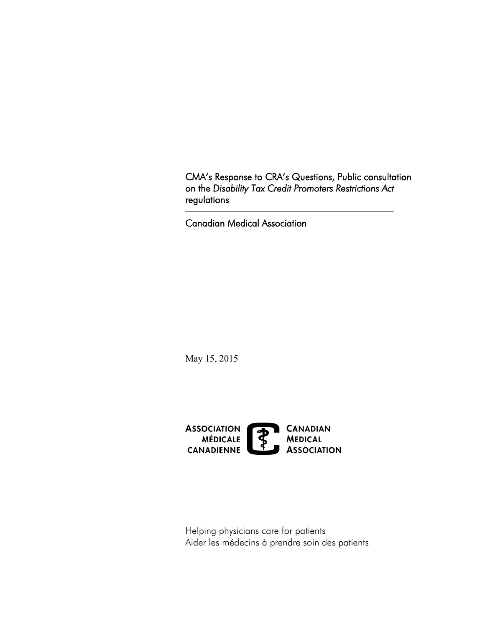CMA's Response to CRA's Questions, Public consultation on the *Disability Tax Credit Promoters Restrictions Act*  regulations

Canadian Medical Association

May 15, 2015



Helping physicians care for patients Aider les médecins à prendre soin des patients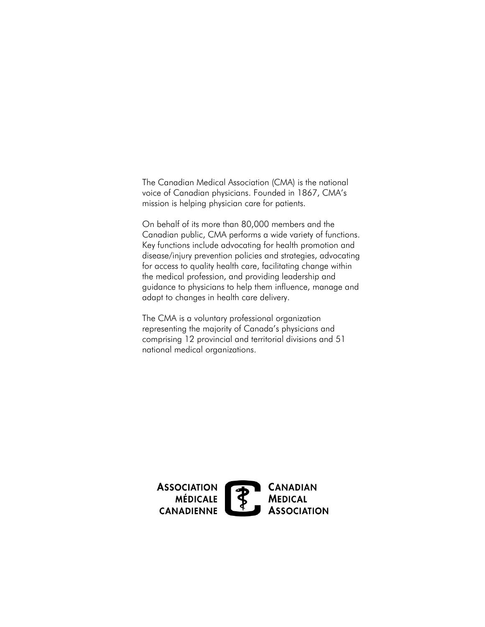The Canadian Medical Association (CMA) is the national voice of Canadian physicians. Founded in 1867, CMA's mission is helping physician care for patients.

 On behalf of its more than 80,000 members and the Canadian public, CMA performs a wide variety of functions. Key functions include advocating for health promotion and disease/injury prevention policies and strategies, advocating for access to quality health care, facilitating change within the medical profession, and providing leadership and guidance to physicians to help them influence, manage and adapt to changes in health care delivery.

The CMA is a voluntary professional organization representing the majority of Canada's physicians and comprising 12 provincial and territorial divisions and 51 national medical organizations.

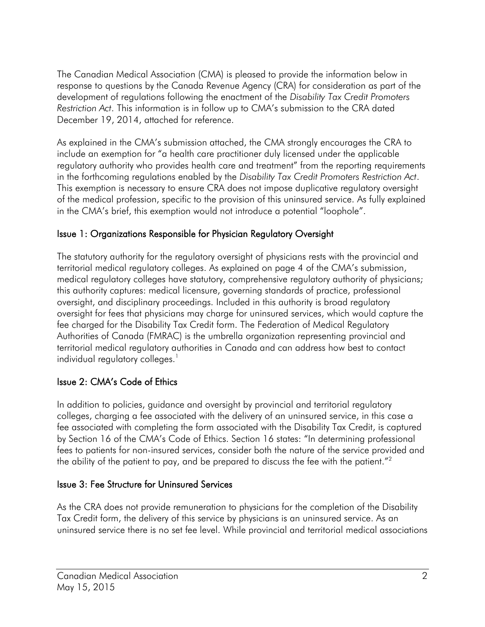The Canadian Medical Association (CMA) is pleased to provide the information below in response to questions by the Canada Revenue Agency (CRA) for consideration as part of the development of regulations following the enactment of the *Disability Tax Credit Promoters Restriction Act*. This information is in follow up to CMA's submission to the CRA dated December 19, 2014, attached for reference.

As explained in the CMA's submission attached, the CMA strongly encourages the CRA to include an exemption for "a health care practitioner duly licensed under the applicable regulatory authority who provides health care and treatment" from the reporting requirements in the forthcoming regulations enabled by the *Disability Tax Credit Promoters Restriction Act*. This exemption is necessary to ensure CRA does not impose duplicative regulatory oversight of the medical profession, specific to the provision of this uninsured service. As fully explained in the CMA's brief, this exemption would not introduce a potential "loophole".

## Issue 1: Organizations Responsible for Physician Regulatory Oversight

The statutory authority for the regulatory oversight of physicians rests with the provincial and territorial medical regulatory colleges. As explained on page 4 of the CMA's submission, medical regulatory colleges have statutory, comprehensive regulatory authority of physicians; this authority captures: medical licensure, governing standards of practice, professional oversight, and disciplinary proceedings. Included in this authority is broad regulatory oversight for fees that physicians may charge for uninsured services, which would capture the fee charged for the Disability Tax Credit form. The Federation of Medical Regulatory Authorities of Canada (FMRAC) is the umbrella organization representing provincial and territorial medical regulatory authorities in Canada and can address how best to contact individual regulatory colleges.<sup>1</sup>

## Issue 2: CMA's Code of Ethics

the ability of the patient to pay, and be prepared to discuss the fee with the patient." $^{2}$ In addition to policies, guidance and oversight by provincial and territorial regulatory colleges, charging a fee associated with the delivery of an uninsured service, in this case a fee associated with completing the form associated with the Disability Tax Credit, is captured by Section 16 of the CMA's Code of Ethics. Section 16 states: "In determining professional fees to patients for non-insured services, consider both the nature of the service provided and

## Issue 3: Fee Structure for Uninsured Services

As the CRA does not provide remuneration to physicians for the completion of the Disability Tax Credit form, the delivery of this service by physicians is an uninsured service. As an uninsured service there is no set fee level. While provincial and territorial medical associations